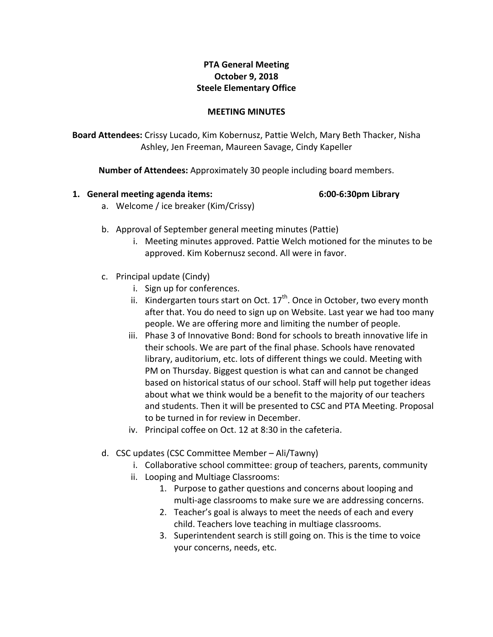# **PTA General Meeting October 9, 2018 Steele Elementary Office**

### **MEETING MINUTES**

**Board Attendees:** Crissy Lucado, Kim Kobernusz, Pattie Welch, Mary Beth Thacker, Nisha Ashley, Jen Freeman, Maureen Savage, Cindy Kapeller

**Number of Attendees:** Approximately 30 people including board members.

## **1. General meeting agenda items: 6:00-6:30pm Library**

- a. Welcome / ice breaker (Kim/Crissy)
- b. Approval of September general meeting minutes (Pattie)
	- i. Meeting minutes approved. Pattie Welch motioned for the minutes to be approved. Kim Kobernusz second. All were in favor.
- c. Principal update (Cindy)
	- i. Sign up for conferences.
	- ii. Kindergarten tours start on Oct.  $17<sup>th</sup>$ . Once in October, two every month after that. You do need to sign up on Website. Last year we had too many people. We are offering more and limiting the number of people.
	- iii. Phase 3 of Innovative Bond: Bond for schools to breath innovative life in their schools. We are part of the final phase. Schools have renovated library, auditorium, etc. lots of different things we could. Meeting with PM on Thursday. Biggest question is what can and cannot be changed based on historical status of our school. Staff will help put together ideas about what we think would be a benefit to the majority of our teachers and students. Then it will be presented to CSC and PTA Meeting. Proposal to be turned in for review in December.
	- iv. Principal coffee on Oct. 12 at 8:30 in the cafeteria.
- d. CSC updates (CSC Committee Member Ali/Tawny)
	- i. Collaborative school committee: group of teachers, parents, community
	- ii. Looping and Multiage Classrooms:
		- 1. Purpose to gather questions and concerns about looping and multi-age classrooms to make sure we are addressing concerns.
		- 2. Teacher's goal is always to meet the needs of each and every child. Teachers love teaching in multiage classrooms.
		- 3. Superintendent search is still going on. This is the time to voice your concerns, needs, etc.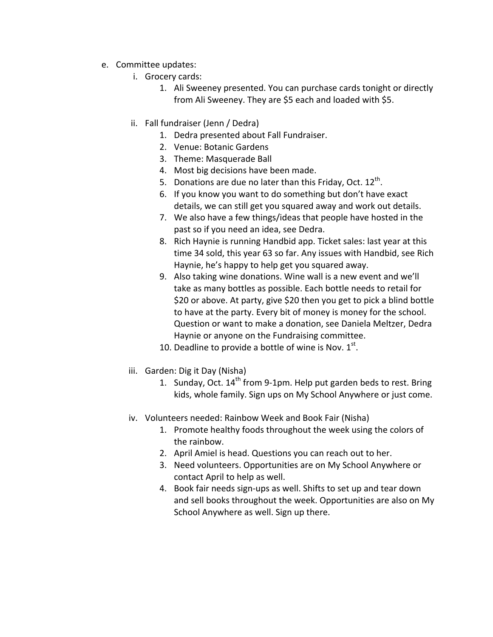- e. Committee updates:
	- i. Grocery cards:
		- 1. Ali Sweeney presented. You can purchase cards tonight or directly from Ali Sweeney. They are \$5 each and loaded with \$5.
	- ii. Fall fundraiser (Jenn / Dedra)
		- 1. Dedra presented about Fall Fundraiser.
		- 2. Venue: Botanic Gardens
		- 3. Theme: Masquerade Ball
		- 4. Most big decisions have been made.
		- 5. Donations are due no later than this Friday, Oct.  $12<sup>th</sup>$ .
		- 6. If you know you want to do something but don't have exact details, we can still get you squared away and work out details.
		- 7. We also have a few things/ideas that people have hosted in the past so if you need an idea, see Dedra.
		- 8. Rich Haynie is running Handbid app. Ticket sales: last year at this time 34 sold, this year 63 so far. Any issues with Handbid, see Rich Haynie, he's happy to help get you squared away.
		- 9. Also taking wine donations. Wine wall is a new event and we'll take as many bottles as possible. Each bottle needs to retail for \$20 or above. At party, give \$20 then you get to pick a blind bottle to have at the party. Every bit of money is money for the school. Question or want to make a donation, see Daniela Meltzer, Dedra Haynie or anyone on the Fundraising committee.
		- 10. Deadline to provide a bottle of wine is Nov.  $1<sup>st</sup>$ .
	- iii. Garden: Dig it Day (Nisha)
		- 1. Sunday, Oct.  $14^{th}$  from 9-1pm. Help put garden beds to rest. Bring kids, whole family. Sign ups on My School Anywhere or just come.
	- iv. Volunteers needed: Rainbow Week and Book Fair (Nisha)
		- 1. Promote healthy foods throughout the week using the colors of the rainbow.
		- 2. April Amiel is head. Questions you can reach out to her.
		- 3. Need volunteers. Opportunities are on My School Anywhere or contact April to help as well.
		- 4. Book fair needs sign-ups as well. Shifts to set up and tear down and sell books throughout the week. Opportunities are also on My School Anywhere as well. Sign up there.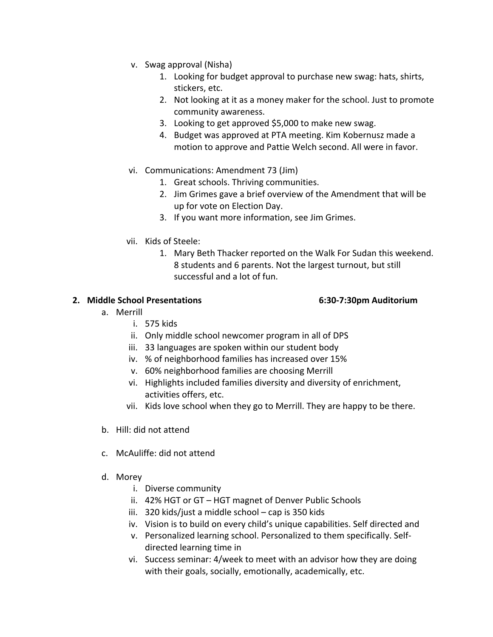- v. Swag approval (Nisha)
	- 1. Looking for budget approval to purchase new swag: hats, shirts, stickers, etc.
	- 2. Not looking at it as a money maker for the school. Just to promote community awareness.
	- 3. Looking to get approved \$5,000 to make new swag.
	- 4. Budget was approved at PTA meeting. Kim Kobernusz made a motion to approve and Pattie Welch second. All were in favor.
- vi. Communications: Amendment 73 (Jim)
	- 1. Great schools. Thriving communities.
	- 2. Jim Grimes gave a brief overview of the Amendment that will be up for vote on Election Day.
	- 3. If you want more information, see Jim Grimes.
- vii. Kids of Steele:
	- 1. Mary Beth Thacker reported on the Walk For Sudan this weekend. 8 students and 6 parents. Not the largest turnout, but still successful and a lot of fun.

## **2. Middle School Presentations 6:30-7:30pm Auditorium**

- a. Merrill
	- i. 575 kids
	- ii. Only middle school newcomer program in all of DPS
	- iii. 33 languages are spoken within our student body
	- iv. % of neighborhood families has increased over 15%
	- v. 60% neighborhood families are choosing Merrill
	- vi. Highlights included families diversity and diversity of enrichment, activities offers, etc.
	- vii. Kids love school when they go to Merrill. They are happy to be there.
- b. Hill: did not attend
- c. McAuliffe: did not attend
- d. Morey
	- i. Diverse community
	- ii. 42% HGT or GT HGT magnet of Denver Public Schools
	- iii. 320 kids/just a middle school  $-$  cap is 350 kids
	- iv. Vision is to build on every child's unique capabilities. Self directed and
	- v. Personalized learning school. Personalized to them specifically. Selfdirected learning time in
	- vi. Success seminar: 4/week to meet with an advisor how they are doing with their goals, socially, emotionally, academically, etc.